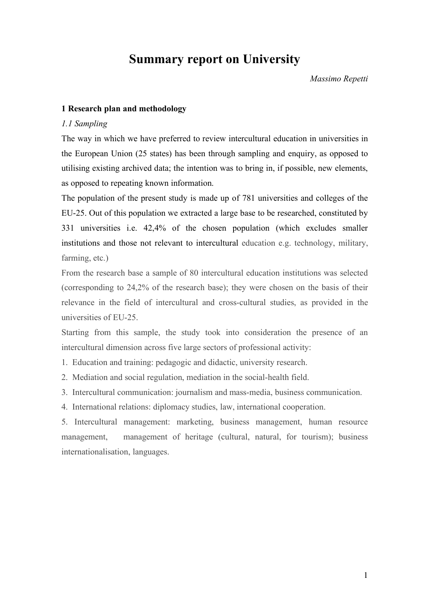# **Summary report on University**

*Massimo Repetti*

#### **1 Research plan and methodology**

#### *1.1 Sampling*

The way in which we have preferred to review intercultural education in universities in the European Union (25 states) has been through sampling and enquiry, as opposed to utilising existing archived data; the intention was to bring in, if possible, new elements, as opposed to repeating known information.

The population of the present study is made up of 781 universities and colleges of the EU-25. Out of this population we extracted a large base to be researched, constituted by 331 universities i.e. 42,4% of the chosen population (which excludes smaller institutions and those not relevant to intercultural education e.g. technology, military, farming, etc.)

From the research base a sample of 80 intercultural education institutions was selected (corresponding to 24,2% of the research base); they were chosen on the basis of their relevance in the field of intercultural and cross-cultural studies, as provided in the universities of EU-25.

Starting from this sample, the study took into consideration the presence of an intercultural dimension across five large sectors of professional activity:

1. Education and training: pedagogic and didactic, university research.

2. Mediation and social regulation, mediation in the social-health field.

3. Intercultural communication: journalism and mass-media, business communication.

4. International relations: diplomacy studies, law, international cooperation.

5. Intercultural management: marketing, business management, human resource management, management of heritage (cultural, natural, for tourism); business internationalisation, languages.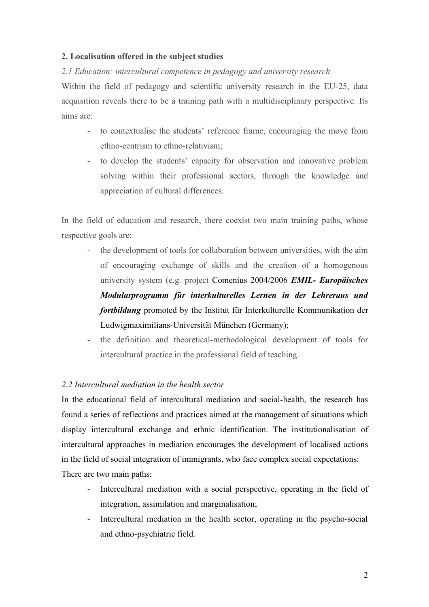# **2. Localisation offered in the subject studies**

# *2.1 Education: intercultural competence in pedagogy and university research*

Within the field of pedagogy and scientific university research in the EU-25, data acquisition reveals there to be a training path with a multidisciplinary perspective. Its aims are:

- to contextualise the students' reference frame, encouraging the move from ethno-centrism to ethno-relativism;
- to develop the students' capacity for observation and innovative problem solving within their professional sectors, through the knowledge and appreciation of cultural differences.

In the field of education and research, there coexist two main training paths, whose respective goals are:

- the development of tools for collaboration between universities, with the aim of encouraging exchange of skills and the creation of a homogenous university system (e.g. project Comenius 2004/2006 *EMIL- Europäisches Modularprogramm für interkulturelles Lernen in der Lehreraus und fortbildung* promoted by the Institut für Interkulturelle Kommunikation der Ludwigmaximilians-Universität München (Germany);
- the definition and theoretical-methodological development of tools for intercultural practice in the professional field of teaching.

## *2.2 Intercultural mediation in the health sector*

In the educational field of intercultural mediation and social-health, the research has found a series of reflections and practices aimed at the management of situations which display intercultural exchange and ethnic identification. The institutionalisation of intercultural approaches in mediation encourages the development of localised actions in the field of social integration of immigrants, who face complex social expectations: There are two main paths:

- Intercultural mediation with a social perspective, operating in the field of integration, assimilation and marginalisation;
- Intercultural mediation in the health sector, operating in the psycho-social and ethno-psychiatric field.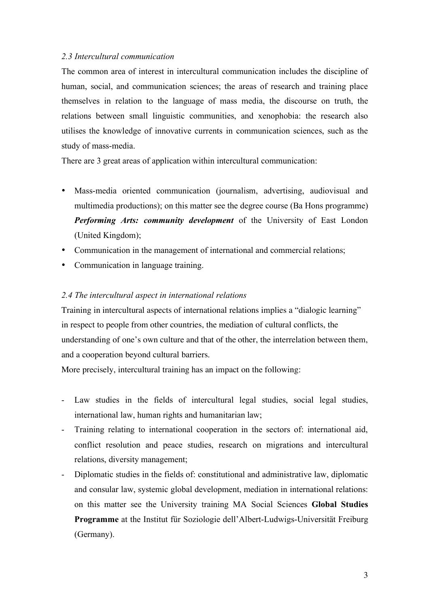## *2.3 Intercultural communication*

The common area of interest in intercultural communication includes the discipline of human, social, and communication sciences; the areas of research and training place themselves in relation to the language of mass media, the discourse on truth, the relations between small linguistic communities, and xenophobia: the research also utilises the knowledge of innovative currents in communication sciences, such as the study of mass-media.

There are 3 great areas of application within intercultural communication:

- Mass-media oriented communication (journalism, advertising, audiovisual and multimedia productions); on this matter see the degree course (Ba Hons programme) *Performing Arts: community development* of the University of East London (United Kingdom);
- Communication in the management of international and commercial relations;
- Communication in language training.

## *2.4 The intercultural aspect in international relations*

Training in intercultural aspects of international relations implies a "dialogic learning" in respect to people from other countries, the mediation of cultural conflicts, the understanding of one's own culture and that of the other, the interrelation between them, and a cooperation beyond cultural barriers.

More precisely, intercultural training has an impact on the following:

- Law studies in the fields of intercultural legal studies, social legal studies, international law, human rights and humanitarian law;
- Training relating to international cooperation in the sectors of: international aid, conflict resolution and peace studies, research on migrations and intercultural relations, diversity management;
- Diplomatic studies in the fields of: constitutional and administrative law, diplomatic and consular law, systemic global development, mediation in international relations: on this matter see the University training MA Social Sciences **Global Studies Programme** at the Institut für Soziologie dell'Albert-Ludwigs-Universität Freiburg (Germany).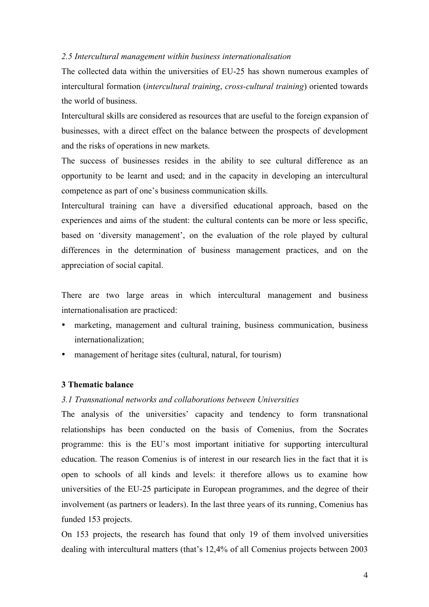#### *2.5 Intercultural management within business internationalisation*

The collected data within the universities of EU-25 has shown numerous examples of intercultural formation (*intercultural training*, *cross-cultural training*) oriented towards the world of business.

Intercultural skills are considered as resources that are useful to the foreign expansion of businesses, with a direct effect on the balance between the prospects of development and the risks of operations in new markets.

The success of businesses resides in the ability to see cultural difference as an opportunity to be learnt and used; and in the capacity in developing an intercultural competence as part of one's business communication skills.

Intercultural training can have a diversified educational approach, based on the experiences and aims of the student: the cultural contents can be more or less specific, based on 'diversity management', on the evaluation of the role played by cultural differences in the determination of business management practices, and on the appreciation of social capital.

There are two large areas in which intercultural management and business internationalisation are practiced:

- marketing, management and cultural training, business communication, business internationalization;
- management of heritage sites (cultural, natural, for tourism)

## **3 Thematic balance**

## *3.1 Transnational networks and collaborations between Universities*

The analysis of the universities' capacity and tendency to form transnational relationships has been conducted on the basis of Comenius, from the Socrates programme: this is the EU's most important initiative for supporting intercultural education. The reason Comenius is of interest in our research lies in the fact that it is open to schools of all kinds and levels: it therefore allows us to examine how universities of the EU-25 participate in European programmes, and the degree of their involvement (as partners or leaders). In the last three years of its running, Comenius has funded 153 projects.

On 153 projects, the research has found that only 19 of them involved universities dealing with intercultural matters (that's 12,4% of all Comenius projects between 2003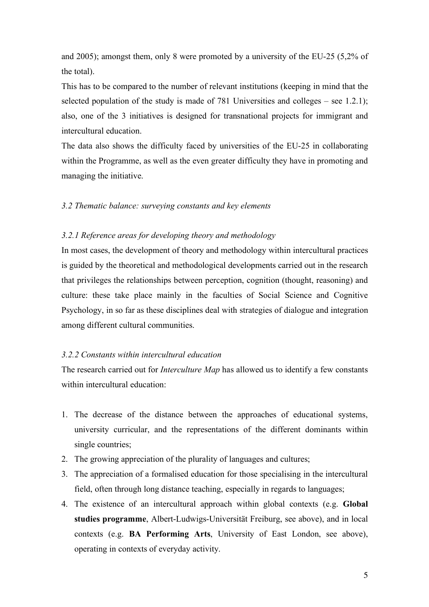and 2005); amongst them, only 8 were promoted by a university of the EU-25 (5,2% of the total).

This has to be compared to the number of relevant institutions (keeping in mind that the selected population of the study is made of 781 Universities and colleges – see 1.2.1); also, one of the 3 initiatives is designed for transnational projects for immigrant and intercultural education.

The data also shows the difficulty faced by universities of the EU-25 in collaborating within the Programme, as well as the even greater difficulty they have in promoting and managing the initiative.

## *3.2 Thematic balance: surveying constants and key elements*

## *3.2.1 Reference areas for developing theory and methodology*

In most cases, the development of theory and methodology within intercultural practices is guided by the theoretical and methodological developments carried out in the research that privileges the relationships between perception, cognition (thought, reasoning) and culture: these take place mainly in the faculties of Social Science and Cognitive Psychology, in so far as these disciplines deal with strategies of dialogue and integration among different cultural communities.

## *3.2.2 Constants within intercultural education*

The research carried out for *Interculture Map* has allowed us to identify a few constants within intercultural education:

- 1. The decrease of the distance between the approaches of educational systems, university curricular, and the representations of the different dominants within single countries;
- 2. The growing appreciation of the plurality of languages and cultures;
- 3. The appreciation of a formalised education for those specialising in the intercultural field, often through long distance teaching, especially in regards to languages;
- 4. The existence of an intercultural approach within global contexts (e.g. **Global studies programme**, Albert-Ludwigs-Universität Freiburg, see above), and in local contexts (e.g. **BA Performing Arts**, University of East London, see above), operating in contexts of everyday activity.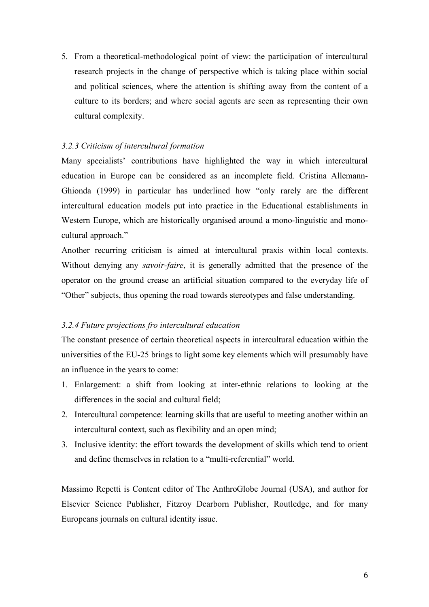5. From a theoretical-methodological point of view: the participation of intercultural research projects in the change of perspective which is taking place within social and political sciences, where the attention is shifting away from the content of a culture to its borders; and where social agents are seen as representing their own cultural complexity.

# *3.2.3 Criticism of intercultural formation*

Many specialists' contributions have highlighted the way in which intercultural education in Europe can be considered as an incomplete field. Cristina Allemann-Ghionda (1999) in particular has underlined how "only rarely are the different intercultural education models put into practice in the Educational establishments in Western Europe, which are historically organised around a mono-linguistic and monocultural approach."

Another recurring criticism is aimed at intercultural praxis within local contexts. Without denying any *savoir-faire*, it is generally admitted that the presence of the operator on the ground crease an artificial situation compared to the everyday life of "Other" subjects, thus opening the road towards stereotypes and false understanding.

## *3.2.4 Future projections fro intercultural education*

The constant presence of certain theoretical aspects in intercultural education within the universities of the EU-25 brings to light some key elements which will presumably have an influence in the years to come:

- 1. Enlargement: a shift from looking at inter-ethnic relations to looking at the differences in the social and cultural field;
- 2. Intercultural competence: learning skills that are useful to meeting another within an intercultural context, such as flexibility and an open mind;
- 3. Inclusive identity: the effort towards the development of skills which tend to orient and define themselves in relation to a "multi-referential" world.

Massimo Repetti is Content editor of The AnthroGlobe Journal (USA), and author for Elsevier Science Publisher, Fitzroy Dearborn Publisher, Routledge, and for many Europeans journals on cultural identity issue.